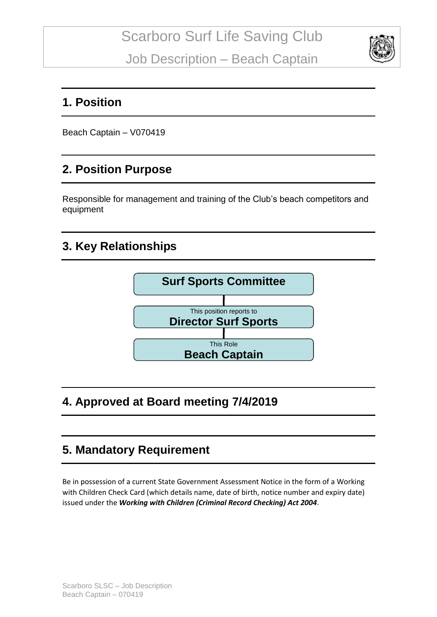

#### **1. Position**

Beach Captain – V070419

### **2. Position Purpose**

Responsible for management and training of the Club's beach competitors and equipment

### **3. Key Relationships**



## **4. Approved at Board meeting 7/4/2019**

#### **5. Mandatory Requirement**

Be in possession of a current State Government Assessment Notice in the form of a Working with Children Check Card (which details name, date of birth, notice number and expiry date) issued under the *Working with Children (Criminal Record Checking) Act 2004*.